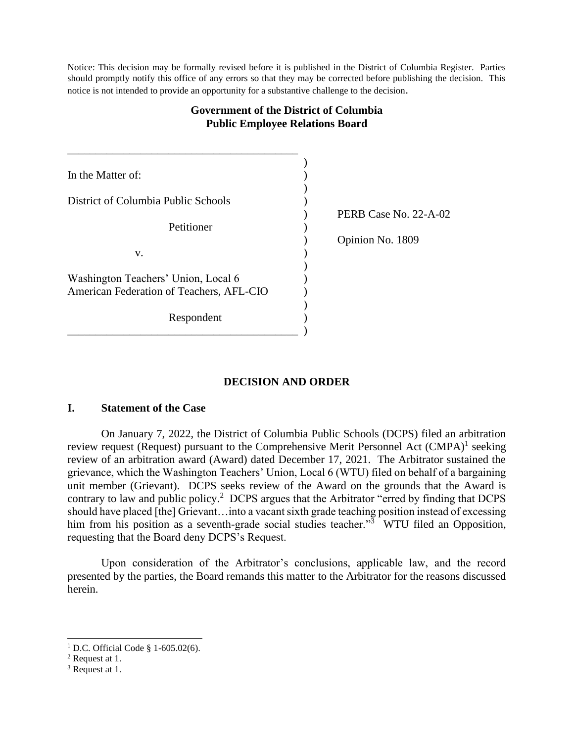Notice: This decision may be formally revised before it is published in the District of Columbia Register. Parties should promptly notify this office of any errors so that they may be corrected before publishing the decision. This notice is not intended to provide an opportunity for a substantive challenge to the decision.

# **Government of the District of Columbia Public Employee Relations Board**

| In the Matter of:                                                               |                       |  |
|---------------------------------------------------------------------------------|-----------------------|--|
| District of Columbia Public Schools                                             | PERB Case No. 22-A-02 |  |
| Petitioner                                                                      | Opinion No. 1809      |  |
| V.                                                                              |                       |  |
| Washington Teachers' Union, Local 6<br>American Federation of Teachers, AFL-CIO |                       |  |
| Respondent                                                                      |                       |  |

# **DECISION AND ORDER**

# **I. Statement of the Case**

On January 7, 2022, the District of Columbia Public Schools (DCPS) filed an arbitration review request (Request) pursuant to the Comprehensive Merit Personnel Act (CMPA)<sup>1</sup> seeking review of an arbitration award (Award) dated December 17, 2021. The Arbitrator sustained the grievance, which the Washington Teachers' Union, Local 6 (WTU) filed on behalf of a bargaining unit member (Grievant). DCPS seeks review of the Award on the grounds that the Award is contrary to law and public policy.<sup>2</sup> DCPS argues that the Arbitrator "erred by finding that DCPS should have placed [the] Grievant…into a vacant sixth grade teaching position instead of excessing him from his position as a seventh-grade social studies teacher."<sup>3</sup> WTU filed an Opposition, requesting that the Board deny DCPS's Request.

Upon consideration of the Arbitrator's conclusions, applicable law, and the record presented by the parties, the Board remands this matter to the Arbitrator for the reasons discussed herein.

<sup>&</sup>lt;sup>1</sup> D.C. Official Code § 1-605.02(6).

<sup>2</sup> Request at 1.

<sup>3</sup> Request at 1.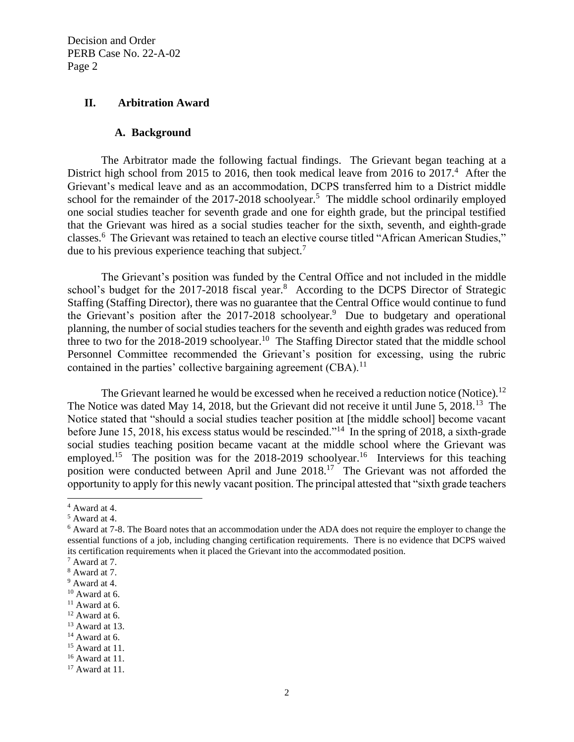## **II. Arbitration Award**

#### **A. Background**

The Arbitrator made the following factual findings. The Grievant began teaching at a District high school from 2015 to 2016, then took medical leave from 2016 to  $2017<sup>4</sup>$ . After the Grievant's medical leave and as an accommodation, DCPS transferred him to a District middle school for the remainder of the  $2017-2018$  schoolyear.<sup>5</sup> The middle school ordinarily employed one social studies teacher for seventh grade and one for eighth grade, but the principal testified that the Grievant was hired as a social studies teacher for the sixth, seventh, and eighth-grade classes.<sup>6</sup> The Grievant was retained to teach an elective course titled "African American Studies," due to his previous experience teaching that subject.<sup>7</sup>

The Grievant's position was funded by the Central Office and not included in the middle school's budget for the 2017-2018 fiscal year.<sup>8</sup> According to the DCPS Director of Strategic Staffing (Staffing Director), there was no guarantee that the Central Office would continue to fund the Grievant's position after the  $2017-2018$  schoolyear.<sup>9</sup> Due to budgetary and operational planning, the number of social studies teachers for the seventh and eighth grades was reduced from three to two for the 2018-2019 schoolyear.<sup>10</sup> The Staffing Director stated that the middle school Personnel Committee recommended the Grievant's position for excessing, using the rubric contained in the parties' collective bargaining agreement  $(CBA)$ .<sup>11</sup>

The Grievant learned he would be excessed when he received a reduction notice (Notice).<sup>12</sup> The Notice was dated May 14, 2018, but the Grievant did not receive it until June 5, 2018.<sup>13</sup> The Notice stated that "should a social studies teacher position at [the middle school] become vacant before June 15, 2018, his excess status would be rescinded."<sup>14</sup> In the spring of 2018, a sixth-grade social studies teaching position became vacant at the middle school where the Grievant was employed.<sup>15</sup> The position was for the 2018-2019 schoolyear.<sup>16</sup> Interviews for this teaching position were conducted between April and June 2018.<sup>17</sup> The Grievant was not afforded the opportunity to apply for this newly vacant position. The principal attested that "sixth grade teachers

<sup>4</sup> Award at 4.

<sup>5</sup> Award at 4.

<sup>6</sup> Award at 7-8. The Board notes that an accommodation under the ADA does not require the employer to change the essential functions of a job, including changing certification requirements. There is no evidence that DCPS waived its certification requirements when it placed the Grievant into the accommodated position.

<sup>7</sup> Award at 7.

<sup>8</sup> Award at 7.

<sup>9</sup> Award at 4.

 $10$  Award at 6.

 $11$  Award at 6.

 $12$  Award at 6.

<sup>13</sup> Award at 13.

 $14$  Award at 6.

 $15$  Award at 11.

<sup>16</sup> Award at 11.

 $17$  Award at 11.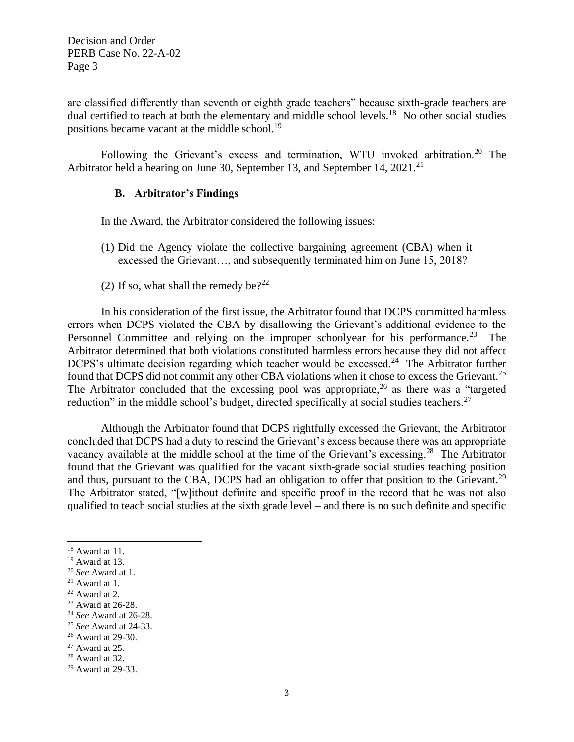are classified differently than seventh or eighth grade teachers" because sixth-grade teachers are dual certified to teach at both the elementary and middle school levels.<sup>18</sup> No other social studies positions became vacant at the middle school.<sup>19</sup>

Following the Grievant's excess and termination, WTU invoked arbitration.<sup>20</sup> The Arbitrator held a hearing on June 30, September 13, and September 14, 2021.<sup>21</sup>

### **B. Arbitrator's Findings**

In the Award, the Arbitrator considered the following issues:

- (1) Did the Agency violate the collective bargaining agreement (CBA) when it excessed the Grievant…, and subsequently terminated him on June 15, 2018?
- (2) If so, what shall the remedy be?<sup>22</sup>

In his consideration of the first issue, the Arbitrator found that DCPS committed harmless errors when DCPS violated the CBA by disallowing the Grievant's additional evidence to the Personnel Committee and relying on the improper schoolyear for his performance.<sup>23</sup> The Arbitrator determined that both violations constituted harmless errors because they did not affect DCPS's ultimate decision regarding which teacher would be excessed.<sup>24</sup> The Arbitrator further found that DCPS did not commit any other CBA violations when it chose to excess the Grievant.<sup>25</sup> The Arbitrator concluded that the excessing pool was appropriate,  $2<sup>6</sup>$  as there was a "targeted" reduction" in the middle school's budget, directed specifically at social studies teachers.<sup>27</sup>

Although the Arbitrator found that DCPS rightfully excessed the Grievant, the Arbitrator concluded that DCPS had a duty to rescind the Grievant's excess because there was an appropriate vacancy available at the middle school at the time of the Grievant's excessing.<sup>28</sup> The Arbitrator found that the Grievant was qualified for the vacant sixth-grade social studies teaching position and thus, pursuant to the CBA, DCPS had an obligation to offer that position to the Grievant.<sup>29</sup> The Arbitrator stated, "[w]ithout definite and specific proof in the record that he was not also qualified to teach social studies at the sixth grade level – and there is no such definite and specific

<sup>18</sup> Award at 11.

<sup>19</sup> Award at 13.

<sup>20</sup> *See* Award at 1.

 $21$  Award at 1.

<sup>22</sup> Award at 2.

<sup>&</sup>lt;sup>23</sup> Award at 26-28.

<sup>24</sup> *See* Award at 26-28.

<sup>25</sup> *See* Award at 24-33.

<sup>26</sup> Award at 29-30.

 $27$  Award at 25.

<sup>28</sup> Award at 32.

<sup>29</sup> Award at 29-33.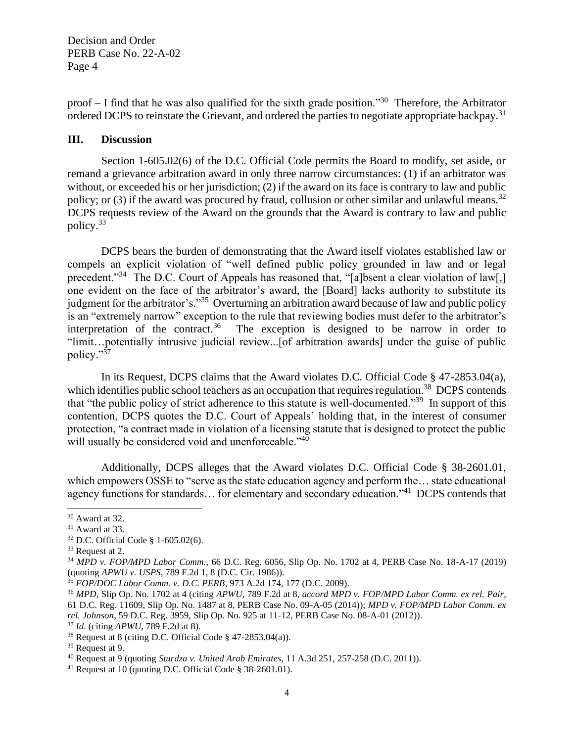proof – I find that he was also qualified for the sixth grade position."<sup>30</sup> Therefore, the Arbitrator ordered DCPS to reinstate the Grievant, and ordered the parties to negotiate appropriate backpay.<sup>31</sup>

### **III. Discussion**

Section 1-605.02(6) of the D.C. Official Code permits the Board to modify, set aside, or remand a grievance arbitration award in only three narrow circumstances: (1) if an arbitrator was without, or exceeded his or her jurisdiction; (2) if the award on its face is contrary to law and public policy; or (3) if the award was procured by fraud, collusion or other similar and unlawful means.<sup>32</sup> DCPS requests review of the Award on the grounds that the Award is contrary to law and public policy.<sup>33</sup>

DCPS bears the burden of demonstrating that the Award itself violates established law or compels an explicit violation of "well defined public policy grounded in law and or legal precedent."<sup>34</sup> The D.C. Court of Appeals has reasoned that, "[a]bsent a clear violation of law[,] one evident on the face of the arbitrator's award, the [Board] lacks authority to substitute its judgment for the arbitrator's."<sup>35</sup> Overturning an arbitration award because of law and public policy is an "extremely narrow" exception to the rule that reviewing bodies must defer to the arbitrator's interpretation of the contract.<sup>36</sup> The exception is designed to be narrow in order to "limit…potentially intrusive judicial review...[of arbitration awards] under the guise of public policy."<sup>37</sup>

In its Request, DCPS claims that the Award violates D.C. Official Code § 47-2853.04(a), which identifies public school teachers as an occupation that requires regulation.<sup>38</sup> DCPS contends that "the public policy of strict adherence to this statute is well-documented."<sup>39</sup> In support of this contention, DCPS quotes the D.C. Court of Appeals' holding that, in the interest of consumer protection, "a contract made in violation of a licensing statute that is designed to protect the public will usually be considered void and unenforceable."<sup>40</sup>

Additionally, DCPS alleges that the Award violates D.C. Official Code § 38-2601.01, which empowers OSSE to "serve as the state education agency and perform the... state educational agency functions for standards... for elementary and secondary education."<sup>41</sup> DCPS contends that

<sup>30</sup> Award at 32.

 $31$  Award at 33.

<sup>32</sup> D.C. Official Code § 1-605.02(6).

<sup>33</sup> Request at 2.

<sup>34</sup> *MPD v. FOP/MPD Labor Comm.*, 66 D.C. Reg. 6056, Slip Op. No. 1702 at 4, PERB Case No. 18-A-17 (2019) (quoting *APWU v. USPS*, 789 F.2d 1, 8 (D.C. Cir. 1986)).

<sup>35</sup> *FOP/DOC Labor Comm. v. D.C. PERB*, 973 A.2d 174, 177 (D.C. 2009).

<sup>36</sup> *MPD*, Slip Op. No. 1702 at 4 (citing *APWU*, 789 F.2d at 8, *accord MPD v. FOP/MPD Labor Comm. ex rel. Pair*, 61 D.C. Reg. 11609, Slip Op. No. 1487 at 8, PERB Case No. 09-A-05 (2014)); *MPD v. FOP/MPD Labor Comm. ex rel. Johnson*, 59 D.C. Reg. 3959, Slip Op. No. 925 at 11-12, PERB Case No. 08-A-01 (2012)).

<sup>37</sup> *Id*. (citing *APWU*, 789 F.2d at 8).

<sup>&</sup>lt;sup>38</sup> Request at 8 (citing D.C. Official Code  $\S$  47-2853.04(a)).

<sup>39</sup> Request at 9.

<sup>40</sup> Request at 9 (quoting *Sturdza v. United Arab Emirates*, 11 A.3d 251, 257-258 (D.C. 2011)).

<sup>41</sup> Request at 10 (quoting D.C. Official Code § 38-2601.01).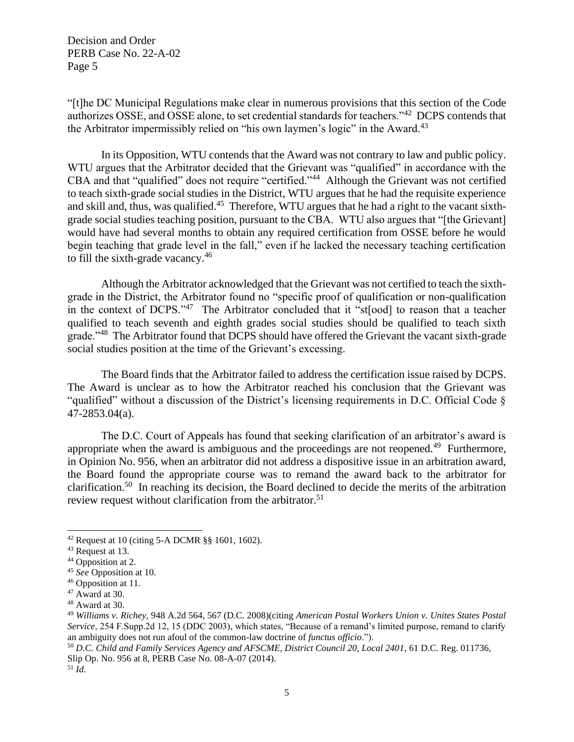"[t]he DC Municipal Regulations make clear in numerous provisions that this section of the Code authorizes OSSE, and OSSE alone, to set credential standards for teachers."<sup>42</sup> DCPS contends that the Arbitrator impermissibly relied on "his own laymen's logic" in the Award.<sup>43</sup>

In its Opposition, WTU contends that the Award was not contrary to law and public policy. WTU argues that the Arbitrator decided that the Grievant was "qualified" in accordance with the CBA and that "qualified" does not require "certified."<sup>44</sup> Although the Grievant was not certified to teach sixth-grade social studies in the District, WTU argues that he had the requisite experience and skill and, thus, was qualified.<sup>45</sup> Therefore, WTU argues that he had a right to the vacant sixthgrade social studies teaching position, pursuant to the CBA. WTU also argues that "[the Grievant] would have had several months to obtain any required certification from OSSE before he would begin teaching that grade level in the fall," even if he lacked the necessary teaching certification to fill the sixth-grade vacancy.<sup>46</sup>

Although the Arbitrator acknowledged that the Grievant was not certified to teach the sixthgrade in the District, the Arbitrator found no "specific proof of qualification or non-qualification in the context of DCPS."<sup>47</sup> The Arbitrator concluded that it "st[ood] to reason that a teacher qualified to teach seventh and eighth grades social studies should be qualified to teach sixth grade."<sup>48</sup> The Arbitrator found that DCPS should have offered the Grievant the vacant sixth-grade social studies position at the time of the Grievant's excessing.

The Board finds that the Arbitrator failed to address the certification issue raised by DCPS. The Award is unclear as to how the Arbitrator reached his conclusion that the Grievant was "qualified" without a discussion of the District's licensing requirements in D.C. Official Code § 47-2853.04(a).

The D.C. Court of Appeals has found that seeking clarification of an arbitrator's award is appropriate when the award is ambiguous and the proceedings are not reopened.<sup>49</sup> Furthermore, in Opinion No. 956, when an arbitrator did not address a dispositive issue in an arbitration award, the Board found the appropriate course was to remand the award back to the arbitrator for clarification.<sup>50</sup> In reaching its decision, the Board declined to decide the merits of the arbitration review request without clarification from the arbitrator.<sup>51</sup>

5

<sup>&</sup>lt;sup>42</sup> Request at 10 (citing 5-A DCMR  $\S$ § 1601, 1602).

<sup>43</sup> Request at 13.

<sup>&</sup>lt;sup>44</sup> Opposition at 2.

<sup>45</sup> *See* Opposition at 10.

<sup>46</sup> Opposition at 11.

 $47$  Award at 30.

 $48$  Award at 30.

<sup>49</sup> *Williams v. Richey*, 948 A.2d 564, 567 (D.C. 2008)(citing *American Postal Workers Union v. Unites States Postal Service*, 254 F.Supp.2d 12, 15 (DDC 2003), which states, "Because of a remand's limited purpose, remand to clarify an ambiguity does not run afoul of the common-law doctrine of *functus officio*.").

<sup>50</sup> *D.C. Child and Family Services Agency and AFSCME, District Council 20, Local 2401*, 61 D.C. Reg. 011736, Slip Op. No. 956 at 8, PERB Case No. 08-A-07 (2014). <sup>51</sup> *Id.*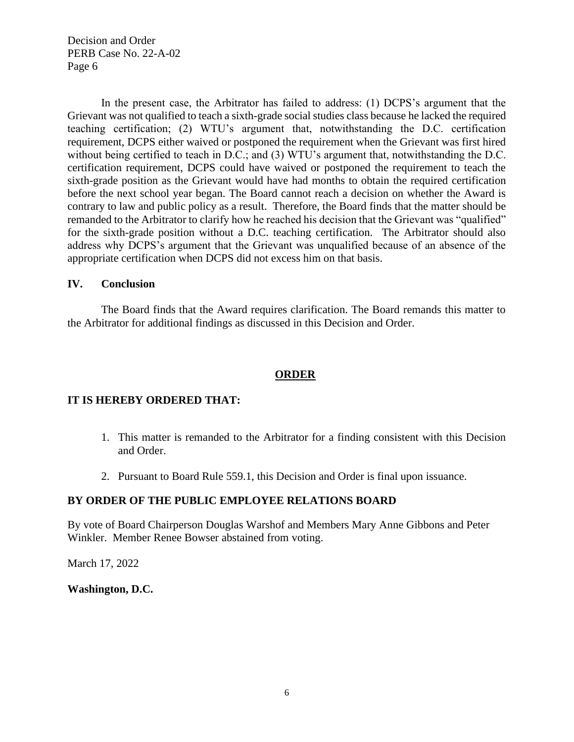In the present case, the Arbitrator has failed to address: (1) DCPS's argument that the Grievant was not qualified to teach a sixth-grade social studies class because he lacked the required teaching certification; (2) WTU's argument that, notwithstanding the D.C. certification requirement, DCPS either waived or postponed the requirement when the Grievant was first hired without being certified to teach in D.C.; and (3) WTU's argument that, notwithstanding the D.C. certification requirement, DCPS could have waived or postponed the requirement to teach the sixth-grade position as the Grievant would have had months to obtain the required certification before the next school year began. The Board cannot reach a decision on whether the Award is contrary to law and public policy as a result. Therefore, the Board finds that the matter should be remanded to the Arbitrator to clarify how he reached his decision that the Grievant was "qualified" for the sixth-grade position without a D.C. teaching certification. The Arbitrator should also address why DCPS's argument that the Grievant was unqualified because of an absence of the appropriate certification when DCPS did not excess him on that basis.

### **IV. Conclusion**

The Board finds that the Award requires clarification. The Board remands this matter to the Arbitrator for additional findings as discussed in this Decision and Order.

# **ORDER**

# **IT IS HEREBY ORDERED THAT:**

- 1. This matter is remanded to the Arbitrator for a finding consistent with this Decision and Order.
- 2. Pursuant to Board Rule 559.1, this Decision and Order is final upon issuance.

# **BY ORDER OF THE PUBLIC EMPLOYEE RELATIONS BOARD**

By vote of Board Chairperson Douglas Warshof and Members Mary Anne Gibbons and Peter Winkler. Member Renee Bowser abstained from voting.

March 17, 2022

**Washington, D.C.**